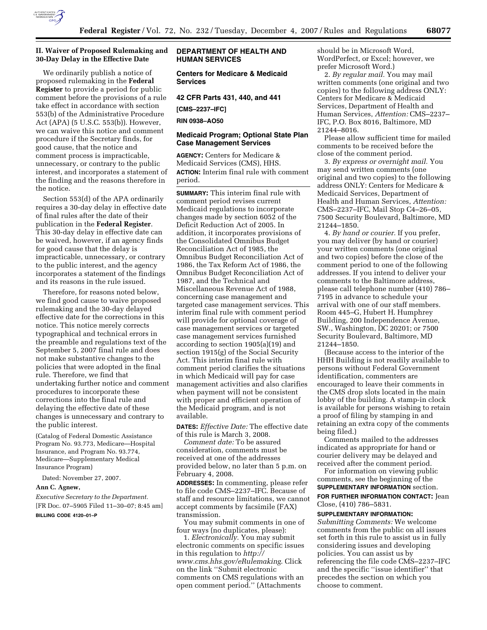

# **II. Waiver of Proposed Rulemaking and 30-Day Delay in the Effective Date**

We ordinarily publish a notice of proposed rulemaking in the **Federal Register** to provide a period for public comment before the provisions of a rule take effect in accordance with section 553(b) of the Administrative Procedure Act (APA) (5 U.S.C. 553(b)). However, we can waive this notice and comment procedure if the Secretary finds, for good cause, that the notice and comment process is impracticable, unnecessary, or contrary to the public interest, and incorporates a statement of the finding and the reasons therefore in the notice.

Section 553(d) of the APA ordinarily requires a 30-day delay in effective date of final rules after the date of their publication in the **Federal Register**. This 30-day delay in effective date can be waived, however, if an agency finds for good cause that the delay is impracticable, unnecessary, or contrary to the public interest, and the agency incorporates a statement of the findings and its reasons in the rule issued.

Therefore, for reasons noted below, we find good cause to waive proposed rulemaking and the 30-day delayed effective date for the corrections in this notice. This notice merely corrects typographical and technical errors in the preamble and regulations text of the September 5, 2007 final rule and does not make substantive changes to the policies that were adopted in the final rule. Therefore, we find that undertaking further notice and comment procedures to incorporate these corrections into the final rule and delaying the effective date of these changes is unnecessary and contrary to the public interest.

(Catalog of Federal Domestic Assistance Program No. 93.773, Medicare—Hospital Insurance, and Program No. 93.774, Medicare—Supplementary Medical Insurance Program)

Dated: November 27, 2007.

#### **Ann C. Agnew,**

*Executive Secretary to the Department.*  [FR Doc. 07–5905 Filed 11–30–07; 8:45 am] **BILLING CODE 4120–01–P** 

# **DEPARTMENT OF HEALTH AND HUMAN SERVICES**

**Centers for Medicare & Medicaid Services** 

**42 CFR Parts 431, 440, and 441** 

**[CMS–2237–IFC]** 

**RIN 0938–AO50** 

# **Medicaid Program; Optional State Plan Case Management Services**

**AGENCY:** Centers for Medicare & Medicaid Services (CMS), HHS. **ACTION:** Interim final rule with comment period.

**SUMMARY:** This interim final rule with comment period revises current Medicaid regulations to incorporate changes made by section 6052 of the Deficit Reduction Act of 2005. In addition, it incorporates provisions of the Consolidated Omnibus Budget Reconciliation Act of 1985, the Omnibus Budget Reconciliation Act of 1986, the Tax Reform Act of 1986, the Omnibus Budget Reconciliation Act of 1987, and the Technical and Miscellaneous Revenue Act of 1988, concerning case management and targeted case management services. This interim final rule with comment period will provide for optional coverage of case management services or targeted case management services furnished according to section 1905(a)(19) and section 1915(g) of the Social Security Act. This interim final rule with comment period clarifies the situations in which Medicaid will pay for case management activities and also clarifies when payment will not be consistent with proper and efficient operation of the Medicaid program, and is not available.

**DATES:** *Effective Date:* The effective date of this rule is March 3, 2008.

*Comment date:* To be assured consideration, comments must be received at one of the addresses provided below, no later than 5 p.m. on February 4, 2008.

**ADDRESSES:** In commenting, please refer to file code CMS–2237–IFC. Because of staff and resource limitations, we cannot accept comments by facsimile (FAX) transmission.

You may submit comments in one of four ways (no duplicates, please):

1. *Electronically.* You may submit electronic comments on specific issues in this regulation to *http:// www.cms.hhs.gov/eRulemaking*. Click on the link ''Submit electronic comments on CMS regulations with an open comment period.'' (Attachments

should be in Microsoft Word, WordPerfect, or Excel; however, we prefer Microsoft Word.)

2. *By regular mail.* You may mail written comments (one original and two copies) to the following address ONLY: Centers for Medicare & Medicaid Services, Department of Health and Human Services, *Attention:* CMS–2237– IFC, P.O. Box 8016, Baltimore, MD 21244–8016.

Please allow sufficient time for mailed comments to be received before the close of the comment period.

3. *By express or overnight mail.* You may send written comments (one original and two copies) to the following address ONLY: Centers for Medicare & Medicaid Services, Department of Health and Human Services, *Attention:*  CMS–2237–IFC, Mail Stop C4–26–05, 7500 Security Boulevard, Baltimore, MD 21244–1850.

4. *By hand or courier.* If you prefer, you may deliver (by hand or courier) your written comments (one original and two copies) before the close of the comment period to one of the following addresses. If you intend to deliver your comments to the Baltimore address, please call telephone number (410) 786– 7195 in advance to schedule your arrival with one of our staff members. Room 445–G, Hubert H. Humphrey Building, 200 Independence Avenue, SW., Washington, DC 20201; or 7500 Security Boulevard, Baltimore, MD 21244–1850.

(Because access to the interior of the HHH Building is not readily available to persons without Federal Government identification, commenters are encouraged to leave their comments in the CMS drop slots located in the main lobby of the building. A stamp-in clock is available for persons wishing to retain a proof of filing by stamping in and retaining an extra copy of the comments being filed.)

Comments mailed to the addresses indicated as appropriate for hand or courier delivery may be delayed and received after the comment period.

For information on viewing public comments, see the beginning of the **SUPPLEMENTARY INFORMATION** section. **FOR FURTHER INFORMATION CONTACT:** Jean Close, (410) 786–5831.

### **SUPPLEMENTARY INFORMATION:**

*Submitting Comments:* We welcome comments from the public on all issues set forth in this rule to assist us in fully considering issues and developing policies. You can assist us by referencing the file code CMS–2237–IFC and the specific ''issue identifier'' that precedes the section on which you choose to comment.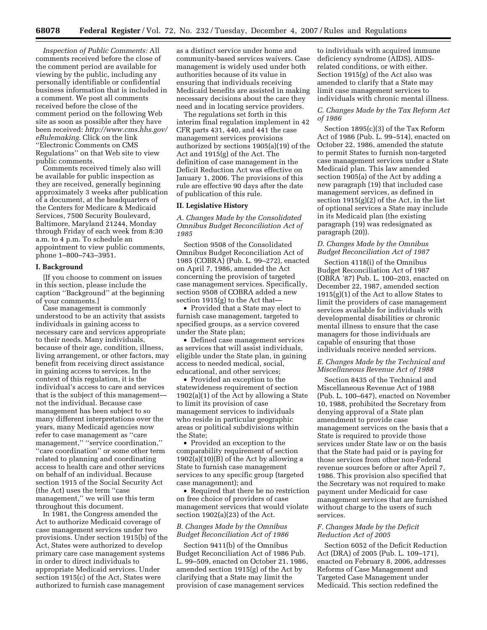*Inspection of Public Comments:* All comments received before the close of the comment period are available for viewing by the public, including any personally identifiable or confidential business information that is included in a comment. We post all comments received before the close of the comment period on the following Web site as soon as possible after they have been received: *http://www.cms.hhs.gov/ eRulemaking.* Click on the link ''Electronic Comments on CMS Regulations'' on that Web site to view public comments.

Comments received timely also will be available for public inspection as they are received, generally beginning approximately 3 weeks after publication of a document, at the headquarters of the Centers for Medicare & Medicaid Services, 7500 Security Boulevard, Baltimore, Maryland 21244, Monday through Friday of each week from 8:30 a.m. to 4 p.m. To schedule an appointment to view public comments, phone 1–800–743–3951.

#### **I. Background**

[If you choose to comment on issues in this section, please include the caption ''Background'' at the beginning of your comments.]

Case management is commonly understood to be an activity that assists individuals in gaining access to necessary care and services appropriate to their needs. Many individuals, because of their age, condition, illness, living arrangement, or other factors, may benefit from receiving direct assistance in gaining access to services. In the context of this regulation, it is the individual's access to care and services that is the subject of this management not the individual. Because case management has been subject to so many different interpretations over the years, many Medicaid agencies now refer to case management as ''care management,'' ''service coordination,'' ''care coordination'' or some other term related to planning and coordinating access to health care and other services on behalf of an individual. Because section 1915 of the Social Security Act (the Act) uses the term ''case management,'' we will use this term throughout this document.

In 1981, the Congress amended the Act to authorize Medicaid coverage of case management services under two provisions. Under section 1915(b) of the Act, States were authorized to develop primary care case management systems in order to direct individuals to appropriate Medicaid services. Under section 1915(c) of the Act, States were authorized to furnish case management

as a distinct service under home and community-based services waivers. Case management is widely used under both authorities because of its value in ensuring that individuals receiving Medicaid benefits are assisted in making necessary decisions about the care they need and in locating service providers.

The regulations set forth in this interim final regulation implement in 42 CFR parts 431, 440, and 441 the case management services provisions authorized by sections 1905(a)(19) of the Act and 1915(g) of the Act. The definition of case management in the Deficit Reduction Act was effective on January 1, 2006. The provisions of this rule are effective 90 days after the date of publication of this rule.

### **II. Legislative History**

*A. Changes Made by the Consolidated Omnibus Budget Reconciliation Act of 1985* 

Section 9508 of the Consolidated Omnibus Budget Reconciliation Act of 1985 (COBRA) (Pub. L. 99–272), enacted on April 7, 1986, amended the Act concerning the provision of targeted case management services. Specifically, section 9508 of COBRA added a new section  $1915(g)$  to the Act that-

• Provided that a State may elect to furnish case management, targeted to specified groups, as a service covered under the State plan;

• Defined case management services as services that will assist individuals, eligible under the State plan, in gaining access to needed medical, social, educational, and other services;

• Provided an exception to the statewideness requirement of section 1902(a)(1) of the Act by allowing a State to limit its provision of case management services to individuals who reside in particular geographic areas or political subdivisions within the State;

• Provided an exception to the comparability requirement of section  $1902(a)(10)(B)$  of the Act by allowing a State to furnish case management services to any specific group (targeted case management); and

• Required that there be no restriction on free choice of providers of case management services that would violate section  $1902(a)(23)$  of the Act.

## *B. Changes Made by the Omnibus Budget Reconciliation Act of 1986*

Section 9411(b) of the Omnibus Budget Reconciliation Act of 1986 Pub. L. 99–509, enacted on October 21, 1986, amended section 1915(g) of the Act by clarifying that a State may limit the provision of case management services

to individuals with acquired immune deficiency syndrome (AIDS), AIDSrelated conditions, or with either. Section 1915(g) of the Act also was amended to clarify that a State may limit case management services to individuals with chronic mental illness.

## *C. Changes Made by the Tax Reform Act of 1986*

Section 1895(c)(3) of the Tax Reform Act of 1986 (Pub. L. 99–514), enacted on October 22, 1986, amended the statute to permit States to furnish non-targeted case management services under a State Medicaid plan. This law amended section 1905(a) of the Act by adding a new paragraph (19) that included case management services, as defined in section 1915(g)(2) of the Act, in the list of optional services a State may include in its Medicaid plan (the existing paragraph (19) was redesignated as paragraph (20)).

# *D. Changes Made by the Omnibus Budget Reconciliation Act of 1987*

Section 4118(i) of the Omnibus Budget Reconciliation Act of 1987 (OBRA '87) Pub. L. 100–203, enacted on December 22, 1987, amended section  $1915(g)(1)$  of the Act to allow States to limit the providers of case management services available for individuals with developmental disabilities or chronic mental illness to ensure that the case managers for those individuals are capable of ensuring that those individuals receive needed services.

## *E. Changes Made by the Technical and Miscellaneous Revenue Act of 1988*

Section 8435 of the Technical and Miscellaneous Revenue Act of 1988 (Pub. L. 100–647), enacted on November 10, 1988, prohibited the Secretary from denying approval of a State plan amendment to provide case management services on the basis that a State is required to provide those services under State law or on the basis that the State had paid or is paying for those services from other non-Federal revenue sources before or after April 7, 1986. This provision also specified that the Secretary was not required to make payment under Medicaid for case management services that are furnished without charge to the users of such services.

## *F. Changes Made by the Deficit Reduction Act of 2005*

Section 6052 of the Deficit Reduction Act (DRA) of 2005 (Pub. L. 109–171), enacted on February 8, 2006, addresses Reforms of Case Management and Targeted Case Management under Medicaid. This section redefined the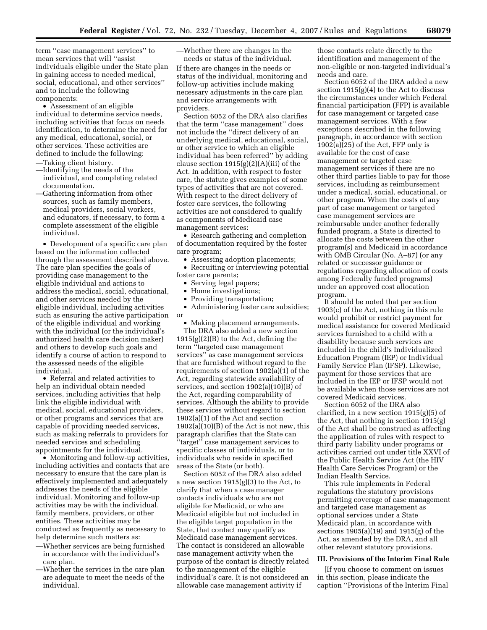term ''case management services'' to mean services that will ''assist individuals eligible under the State plan in gaining access to needed medical, social, educational, and other services'' and to include the following components:

• Assessment of an eligible individual to determine service needs, including activities that focus on needs identification, to determine the need for any medical, educational, social, or other services. These activities are defined to include the following:

- —Taking client history.
- —Identifying the needs of the individual, and completing related documentation.
- —Gathering information from other sources, such as family members, medical providers, social workers, and educators, if necessary, to form a complete assessment of the eligible individual.

• Development of a specific care plan based on the information collected through the assessment described above. The care plan specifies the goals of providing case management to the eligible individual and actions to address the medical, social, educational, and other services needed by the eligible individual, including activities such as ensuring the active participation of the eligible individual and working with the individual (or the individual's authorized health care decision maker) and others to develop such goals and identify a course of action to respond to the assessed needs of the eligible individual.

• Referral and related activities to help an individual obtain needed services, including activities that help link the eligible individual with medical, social, educational providers, or other programs and services that are capable of providing needed services, such as making referrals to providers for needed services and scheduling appointments for the individual.

• Monitoring and follow-up activities, including activities and contacts that are necessary to ensure that the care plan is effectively implemented and adequately addresses the needs of the eligible individual. Monitoring and follow-up activities may be with the individual, family members, providers, or other entities. These activities may be conducted as frequently as necessary to help determine such matters as:

- —Whether services are being furnished in accordance with the individual's care plan.
- —Whether the services in the care plan are adequate to meet the needs of the individual.

—Whether there are changes in the

needs or status of the individual. If there are changes in the needs or status of the individual, monitoring and follow-up activities include making necessary adjustments in the care plan and service arrangements with providers.

Section 6052 of the DRA also clarifies that the term ''case management'' does not include the ''direct delivery of an underlying medical, educational, social, or other service to which an eligible individual has been referred'' by adding clause section  $1915(g)(2)(A)(iii)$  of the Act. In addition, with respect to foster care, the statute gives examples of some types of activities that are not covered. With respect to the direct delivery of foster care services, the following activities are not considered to qualify as components of Medicaid case management services:

• Research gathering and completion of documentation required by the foster care program;

• Assessing adoption placements;

• Recruiting or interviewing potential foster care parents;

- Serving legal papers;
- Home investigations;
- Providing transportation;

• Administering foster care subsidies; or

• Making placement arrangements.

The DRA also added a new section  $1915(g)(2)(B)$  to the Act, defining the term ''targeted case management services'' as case management services that are furnished without regard to the requirements of section 1902(a)(1) of the Act, regarding statewide availability of services, and section 1902(a)(10)(B) of the Act, regarding comparability of services. Although the ability to provide these services without regard to section 1902(a)(1) of the Act and section 1902(a)(10)(B) of the Act is not new, this paragraph clarifies that the State can ''target'' case management services to specific classes of individuals, or to individuals who reside in specified areas of the State (or both).

Section 6052 of the DRA also added a new section 1915(g)(3) to the Act, to clarify that when a case manager contacts individuals who are not eligible for Medicaid, or who are Medicaid eligible but not included in the eligible target population in the State, that contact may qualify as Medicaid case management services. The contact is considered an allowable case management activity when the purpose of the contact is directly related to the management of the eligible individual's care. It is not considered an allowable case management activity if

those contacts relate directly to the identification and management of the non-eligible or non-targeted individual's needs and care.

Section 6052 of the DRA added a new section  $1915(g)(4)$  to the Act to discuss the circumstances under which Federal financial participation (FFP) is available for case management or targeted case management services. With a few exceptions described in the following paragraph, in accordance with section  $1902(a)(25)$  of the Act, FFP only is available for the cost of case management or targeted case management services if there are no other third parties liable to pay for those services, including as reimbursement under a medical, social, educational, or other program. When the costs of any part of case management or targeted case management services are reimbursable under another federally funded program, a State is directed to allocate the costs between the other program(s) and Medicaid in accordance with OMB Circular (No. A–87) (or any related or successor guidance or regulations regarding allocation of costs among Federally funded programs) under an approved cost allocation program.

It should be noted that per section 1903(c) of the Act, nothing in this rule would prohibit or restrict payment for medical assistance for covered Medicaid services furnished to a child with a disability because such services are included in the child's Individualized Education Program (IEP) or Individual Family Service Plan (IFSP). Likewise, payment for those services that are included in the IEP or IFSP would not be available when those services are not covered Medicaid services.

Section 6052 of the DRA also clarified, in a new section 1915(g)(5) of the Act, that nothing in section 1915(g) of the Act shall be construed as affecting the application of rules with respect to third party liability under programs or activities carried out under title XXVI of the Public Health Service Act (the HIV Health Care Services Program) or the Indian Health Service.

This rule implements in Federal regulations the statutory provisions permitting coverage of case management and targeted case management as optional services under a State Medicaid plan, in accordance with sections 1905(a)(19) and 1915(g) of the Act, as amended by the DRA, and all other relevant statutory provisions.

# **III. Provisions of the Interim Final Rule**

[If you choose to comment on issues in this section, please indicate the caption ''Provisions of the Interim Final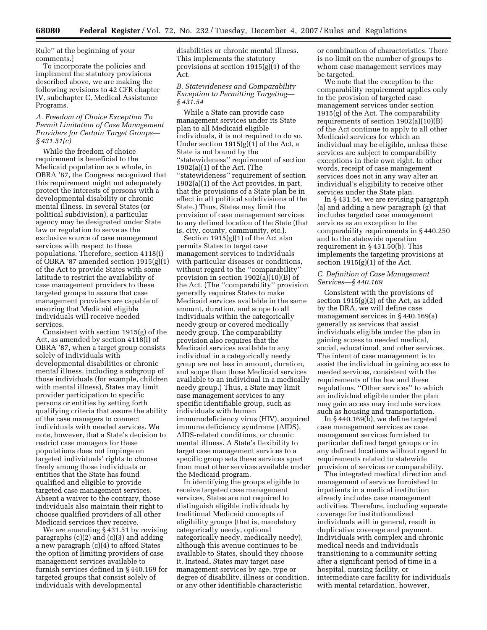Rule'' at the beginning of your comments.]

To incorporate the policies and implement the statutory provisions described above, we are making the following revisions to 42 CFR chapter IV, subchapter C, Medical Assistance Programs.

## *A. Freedom of Choice Exception To Permit Limitation of Case Management Providers for Certain Target Groups— § 431.51(c)*

While the freedom of choice requirement is beneficial to the Medicaid population as a whole, in OBRA '87, the Congress recognized that this requirement might not adequately protect the interests of persons with a developmental disability or chronic mental illness. In several States (or political subdivision), a particular agency may be designated under State law or regulation to serve as the exclusive source of case management services with respect to these populations. Therefore, section 4118(i) of OBRA '87 amended section 1915(g)(1) of the Act to provide States with some latitude to restrict the availability of case management providers to these targeted groups to assure that case management providers are capable of ensuring that Medicaid eligible individuals will receive needed services.

Consistent with section 1915(g) of the Act, as amended by section 4118(i) of OBRA '87, when a target group consists solely of individuals with developmental disabilities or chronic mental illness, including a subgroup of those individuals (for example, children with mental illness), States may limit provider participation to specific persons or entities by setting forth qualifying criteria that assure the ability of the case managers to connect individuals with needed services. We note, however, that a State's decision to restrict case managers for these populations does not impinge on targeted individuals' rights to choose freely among those individuals or entities that the State has found qualified and eligible to provide targeted case management services. Absent a waiver to the contrary, those individuals also maintain their right to choose qualified providers of all other Medicaid services they receive.

We are amending § 431.51 by revising paragraphs (c)(2) and (c)(3) and adding a new paragraph (c)(4) to afford States the option of limiting providers of case management services available to furnish services defined in § 440.169 for targeted groups that consist solely of individuals with developmental

disabilities or chronic mental illness. This implements the statutory provisions at section 1915(g)(1) of the Act.

# *B. Statewideness and Comparability Exception to Permitting Targeting— § 431.54*

While a State can provide case management services under its State plan to all Medicaid eligible individuals, it is not required to do so. Under section 1915(g)(1) of the Act, a State is not bound by the ''statewideness'' requirement of section 1902(a)(1) of the Act. (The ''statewideness'' requirement of section 1902(a)(1) of the Act provides, in part, that the provisions of a State plan be in effect in all political subdivisions of the State.) Thus, States may limit the provision of case management services to any defined location of the State (that is, city, county, community, etc.).

Section 1915(g)(1) of the Act also permits States to target case management services to individuals with particular diseases or conditions, without regard to the ''comparability'' provision in section 1902(a)(10)(B) of the Act. (The ''comparability'' provision generally requires States to make Medicaid services available in the same amount, duration, and scope to all individuals within the categorically needy group or covered medically needy group. The comparability provision also requires that the Medicaid services available to any individual in a categorically needy group are not less in amount, duration, and scope than those Medicaid services available to an individual in a medically needy group.) Thus, a State may limit case management services to any specific identifiable group, such as individuals with human immunodeficiency virus (HIV), acquired immune deficiency syndrome (AIDS), AIDS-related conditions, or chronic mental illness. A State's flexibility to target case management services to a specific group sets these services apart from most other services available under the Medicaid program.

In identifying the groups eligible to receive targeted case management services, States are not required to distinguish eligible individuals by traditional Medicaid concepts of eligibility groups (that is, mandatory categorically needy, optional categorically needy, medically needy), although this avenue continues to be available to States, should they choose it. Instead, States may target case management services by age, type or degree of disability, illness or condition, or any other identifiable characteristic

or combination of characteristics. There is no limit on the number of groups to whom case management services may be targeted.

We note that the exception to the comparability requirement applies only to the provision of targeted case management services under section 1915(g) of the Act. The comparability requirements of section 1902(a)(10)(B) of the Act continue to apply to all other Medicaid services for which an individual may be eligible, unless these services are subject to comparability exceptions in their own right. In other words, receipt of case management services does not in any way alter an individual's eligibility to receive other services under the State plan.

In § 431.54, we are revising paragraph (a) and adding a new paragraph (g) that includes targeted case management services as an exception to the comparability requirements in § 440.250 and to the statewide operation requirement in § 431.50(b). This implements the targeting provisions at section  $1915(g)(1)$  of the Act.

### *C. Definition of Case Management Services—§ 440.169*

Consistent with the provisions of section 1915(g)(2) of the Act, as added by the DRA, we will define case management services in § 440.169(a) generally as services that assist individuals eligible under the plan in gaining access to needed medical, social, educational, and other services. The intent of case management is to assist the individual in gaining access to needed services, consistent with the requirements of the law and these regulations. ''Other services'' to which an individual eligible under the plan may gain access may include services such as housing and transportation.

In § 440.169(b), we define targeted case management services as case management services furnished to particular defined target groups or in any defined locations without regard to requirements related to statewide provision of services or comparability.

The integrated medical direction and management of services furnished to inpatients in a medical institution already includes case management activities. Therefore, including separate coverage for institutionalized individuals will in general, result in duplicative coverage and payment. Individuals with complex and chronic medical needs and individuals transitioning to a community setting after a significant period of time in a hospital, nursing facility, or intermediate care facility for individuals with mental retardation, however,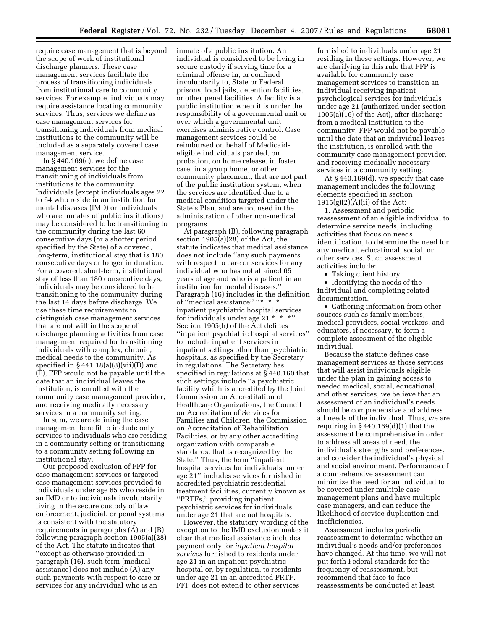require case management that is beyond the scope of work of institutional discharge planners. These case management services facilitate the process of transitioning individuals from institutional care to community services. For example, individuals may require assistance locating community services. Thus, services we define as case management services for transitioning individuals from medical institutions to the community will be included as a separately covered case management service.

In  $\S 440.169(c)$ , we define case management services for the transitioning of individuals from institutions to the community. Individuals (except individuals ages 22 to 64 who reside in an institution for mental diseases (IMD) or individuals who are inmates of public institutions) may be considered to be transitioning to the community during the last 60 consecutive days (or a shorter period specified by the State) of a covered, long-term, institutional stay that is 180 consecutive days or longer in duration. For a covered, short-term, institutional stay of less than 180 consecutive days, individuals may be considered to be transitioning to the community during the last 14 days before discharge. We use these time requirements to distinguish case management services that are not within the scope of discharge planning activities from case management required for transitioning individuals with complex, chronic, medical needs to the community. As specified in § 441.18(a)(8)(vii)(D) and (E), FFP would not be payable until the date that an individual leaves the institution, is enrolled with the community case management provider, and receiving medically necessary services in a community setting.

In sum, we are defining the case management benefit to include only services to individuals who are residing in a community setting or transitioning to a community setting following an institutional stay.

Our proposed exclusion of FFP for case management services or targeted case management services provided to individuals under age 65 who reside in an IMD or to individuals involuntarily living in the secure custody of law enforcement, judicial, or penal systems is consistent with the statutory requirements in paragraphs (A) and (B) following paragraph section 1905(a)(28) of the Act. The statute indicates that ''except as otherwise provided in paragraph (16), such term [medical assistance] does not include (A) any such payments with respect to care or services for any individual who is an

inmate of a public institution. An individual is considered to be living in secure custody if serving time for a criminal offense in, or confined involuntarily to, State or Federal prisons, local jails, detention facilities, or other penal facilities. A facility is a public institution when it is under the responsibility of a governmental unit or over which a governmental unit exercises administrative control. Case management services could be reimbursed on behalf of Medicaideligible individuals paroled, on probation, on home release, in foster care, in a group home, or other community placement, that are not part of the public institution system, when the services are identified due to a medical condition targeted under the State's Plan, and are not used in the administration of other non-medical programs.

At paragraph (B), following paragraph section 1905(a)(28) of the Act, the statute indicates that medical assistance does not include ''any such payments with respect to care or services for any individual who has not attained 65 years of age and who is a patient in an institution for mental diseases.'' Paragraph (16) includes in the definition of "medical assistance" "\* \* inpatient psychiatric hospital services for individuals under age 21  $*$   $*$   $*$ " Section 1905(h) of the Act defines ''inpatient psychiatric hospital services'' to include inpatient services in inpatient settings other than psychiatric hospitals, as specified by the Secretary in regulations. The Secretary has specified in regulations at § 440.160 that such settings include ''a psychiatric facility which is accredited by the Joint Commission on Accreditation of Healthcare Organizations, the Council on Accreditation of Services for Families and Children, the Commission on Accreditation of Rehabilitation Facilities, or by any other accrediting organization with comparable standards, that is recognized by the State.'' Thus, the term ''inpatient hospital services for individuals under age 21'' includes services furnished in accredited psychiatric residential treatment facilities, currently known as ''PRTFs,'' providing inpatient psychiatric services for individuals under age 21 that are not hospitals.

However, the statutory wording of the exception to the IMD exclusion makes it clear that medical assistance includes payment only for *inpatient hospital services* furnished to residents under age 21 in an inpatient psychiatric hospital or, by regulation, to residents under age 21 in an accredited PRTF. FFP does not extend to other services

furnished to individuals under age 21 residing in these settings. However, we are clarifying in this rule that FFP is available for community case management services to transition an individual receiving inpatient psychological services for individuals under age 21 (authorized under section 1905(a)(16) of the Act), after discharge from a medical institution to the community. FFP would not be payable until the date that an individual leaves the institution, is enrolled with the community case management provider, and receiving medically necessary services in a community setting.

At § 440.169(d), we specify that case management includes the following elements specified in section  $1915(g)(2)(A)(ii)$  of the Act:

1. Assessment and periodic reassessment of an eligible individual to determine service needs, including activities that focus on needs identification, to determine the need for any medical, educational, social, or other services. Such assessment activities include:

• Taking client history.

• Identifying the needs of the individual and completing related documentation.

• Gathering information from other sources such as family members, medical providers, social workers, and educators, if necessary, to form a complete assessment of the eligible individual.

Because the statute defines case management services as those services that will assist individuals eligible under the plan in gaining access to needed medical, social, educational, and other services, we believe that an assessment of an individual's needs should be comprehensive and address all needs of the individual. Thus, we are requiring in  $§$  440.169 $(d)(1)$  that the assessment be comprehensive in order to address all areas of need, the individual's strengths and preferences, and consider the individual's physical and social environment. Performance of a comprehensive assessment can minimize the need for an individual to be covered under multiple case management plans and have multiple case managers, and can reduce the likelihood of service duplication and inefficiencies.

Assessment includes periodic reassessment to determine whether an individual's needs and/or preferences have changed. At this time, we will not put forth Federal standards for the frequency of reassessment, but recommend that face-to-face reassessments be conducted at least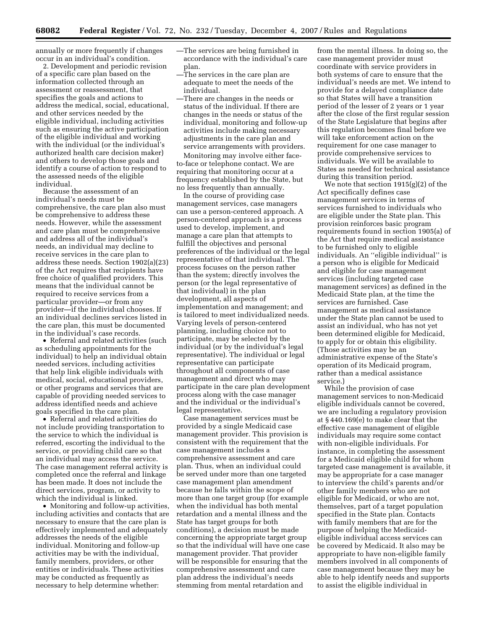annually or more frequently if changes occur in an individual's condition.

2. Development and periodic revision of a specific care plan based on the information collected through an assessment or reassessment, that specifies the goals and actions to address the medical, social, educational, and other services needed by the eligible individual, including activities such as ensuring the active participation of the eligible individual and working with the individual (or the individual's authorized health care decision maker) and others to develop those goals and identify a course of action to respond to the assessed needs of the eligible individual.

Because the assessment of an individual's needs must be comprehensive, the care plan also must be comprehensive to address these needs. However, while the assessment and care plan must be comprehensive and address all of the individual's needs, an individual may decline to receive services in the care plan to address these needs. Section 1902(a)(23) of the Act requires that recipients have free choice of qualified providers. This means that the individual cannot be required to receive services from a particular provider—or from any provider—if the individual chooses. If an individual declines services listed in the care plan, this must be documented in the individual's case records.

• Referral and related activities (such as scheduling appointments for the individual) to help an individual obtain needed services, including activities that help link eligible individuals with medical, social, educational providers, or other programs and services that are capable of providing needed services to address identified needs and achieve goals specified in the care plan.

• Referral and related activities do not include providing transportation to the service to which the individual is referred, escorting the individual to the service, or providing child care so that an individual may access the service. The case management referral activity is completed once the referral and linkage has been made. It does not include the direct services, program, or activity to which the individual is linked.

• Monitoring and follow-up activities, including activities and contacts that are necessary to ensure that the care plan is effectively implemented and adequately addresses the needs of the eligible individual. Monitoring and follow-up activities may be with the individual, family members, providers, or other entities or individuals. These activities may be conducted as frequently as necessary to help determine whether:

—The services are being furnished in accordance with the individual's care plan.

- —The services in the care plan are adequate to meet the needs of the individual.
- —There are changes in the needs or status of the individual. If there are changes in the needs or status of the individual, monitoring and follow-up activities include making necessary adjustments in the care plan and service arrangements with providers.

Monitoring may involve either faceto-face or telephone contact. We are requiring that monitoring occur at a frequency established by the State, but no less frequently than annually.

In the course of providing case management services, case managers can use a person-centered approach. A person-centered approach is a process used to develop, implement, and manage a care plan that attempts to fulfill the objectives and personal preferences of the individual or the legal representative of that individual. The process focuses on the person rather than the system; directly involves the person (or the legal representative of that individual) in the plan development, all aspects of implementation and management; and is tailored to meet individualized needs. Varying levels of person-centered planning, including choice not to participate, may be selected by the individual (or by the individual's legal representative). The individual or legal representative can participate throughout all components of case management and direct who may participate in the care plan development process along with the case manager and the individual or the individual's legal representative.

Case management services must be provided by a single Medicaid case management provider. This provision is consistent with the requirement that the case management includes a comprehensive assessment and care plan. Thus, when an individual could be served under more than one targeted case management plan amendment because he falls within the scope of more than one target group (for example when the individual has both mental retardation and a mental illness and the State has target groups for both conditions), a decision must be made concerning the appropriate target group so that the individual will have one case management provider. That provider will be responsible for ensuring that the comprehensive assessment and care plan address the individual's needs stemming from mental retardation and

from the mental illness. In doing so, the case management provider must coordinate with service providers in both systems of care to ensure that the individual's needs are met. We intend to provide for a delayed compliance date so that States will have a transition period of the lesser of 2 years or 1 year after the close of the first regular session of the State Legislature that begins after this regulation becomes final before we will take enforcement action on the requirement for one case manager to provide comprehensive services to individuals. We will be available to States as needed for technical assistance during this transition period.

We note that section 1915(g)(2) of the Act specifically defines case management services in terms of services furnished to individuals who are eligible under the State plan. This provision reinforces basic program requirements found in section 1905(a) of the Act that require medical assistance to be furnished only to eligible individuals. An ''eligible individual'' is a person who is eligible for Medicaid and eligible for case management services (including targeted case management services) as defined in the Medicaid State plan, at the time the services are furnished. Case management as medical assistance under the State plan cannot be used to assist an individual, who has not yet been determined eligible for Medicaid, to apply for or obtain this eligibility. (Those activities may be an administrative expense of the State's operation of its Medicaid program, rather than a medical assistance service.)

While the provision of case management services to non-Medicaid eligible individuals cannot be covered, we are including a regulatory provision at § 440.169(e) to make clear that the effective case management of eligible individuals may require some contact with non-eligible individuals. For instance, in completing the assessment for a Medicaid eligible child for whom targeted case management is available, it may be appropriate for a case manager to interview the child's parents and/or other family members who are not eligible for Medicaid, or who are not, themselves, part of a target population specified in the State plan. Contacts with family members that are for the purpose of helping the Medicaideligible individual access services can be covered by Medicaid. It also may be appropriate to have non-eligible family members involved in all components of case management because they may be able to help identify needs and supports to assist the eligible individual in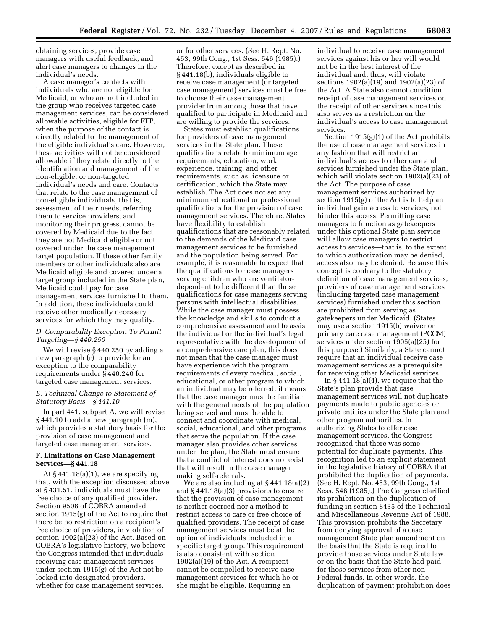obtaining services, provide case managers with useful feedback, and alert case managers to changes in the individual's needs.

A case manager's contacts with individuals who are not eligible for Medicaid, or who are not included in the group who receives targeted case management services, can be considered allowable activities, eligible for FFP, when the purpose of the contact is directly related to the management of the eligible individual's care. However, these activities will not be considered allowable if they relate directly to the identification and management of the non-eligible, or non-targeted individual's needs and care. Contacts that relate to the case management of non-eligible individuals, that is, assessment of their needs, referring them to service providers, and monitoring their progress, cannot be covered by Medicaid due to the fact they are not Medicaid eligible or not covered under the case management target population. If these other family members or other individuals also are Medicaid eligible and covered under a target group included in the State plan, Medicaid could pay for case management services furnished to them. In addition, these individuals could receive other medically necessary services for which they may qualify.

# *D. Comparability Exception To Permit Targeting—§ 440.250*

We will revise § 440.250 by adding a new paragraph (r) to provide for an exception to the comparability requirements under § 440.240 for targeted case management services.

### *E. Technical Change to Statement of Statutory Basis—§ 441.10*

In part 441, subpart A, we will revise § 441.10 to add a new paragraph (m), which provides a statutory basis for the provision of case management and targeted case management services.

### **F. Limitations on Case Management Services—§ 441.18**

At  $§$  441.18(a)(1), we are specifying that, with the exception discussed above at § 431.51, individuals must have the free choice of any qualified provider. Section 9508 of COBRA amended section 1915(g) of the Act to require that there be no restriction on a recipient's free choice of providers, in violation of section 1902(a)(23) of the Act. Based on COBRA's legislative history, we believe the Congress intended that individuals receiving case management services under section 1915(g) of the Act not be locked into designated providers, whether for case management services,

or for other services. (See H. Rept. No. 453, 99th Cong., 1st Sess. 546 (1985).) Therefore, except as described in § 441.18(b), individuals eligible to receive case management (or targeted case management) services must be free to choose their case management provider from among those that have qualified to participate in Medicaid and are willing to provide the services.

States must establish qualifications for providers of case management services in the State plan. These qualifications relate to minimum age requirements, education, work experience, training, and other requirements, such as licensure or certification, which the State may establish. The Act does not set any minimum educational or professional qualifications for the provision of case management services. Therefore, States have flexibility to establish qualifications that are reasonably related to the demands of the Medicaid case management services to be furnished and the population being served. For example, it is reasonable to expect that the qualifications for case managers serving children who are ventilatordependent to be different than those qualifications for case managers serving persons with intellectual disabilities. While the case manager must possess the knowledge and skills to conduct a comprehensive assessment and to assist the individual or the individual's legal representative with the development of a comprehensive care plan, this does not mean that the case manager must have experience with the program requirements of every medical, social, educational, or other program to which an individual may be referred; it means that the case manager must be familiar with the general needs of the population being served and must be able to connect and coordinate with medical, social, educational, and other programs that serve the population. If the case manager also provides other services under the plan, the State must ensure that a conflict of interest does not exist that will result in the case manager making self-referrals.

We are also including at § 441.18(a)(2) and § 441.18(a)(3) provisions to ensure that the provision of case management is neither coerced nor a method to restrict access to care or free choice of qualified providers. The receipt of case management services must be at the option of individuals included in a specific target group. This requirement is also consistent with section 1902(a)(19) of the Act. A recipient cannot be compelled to receive case management services for which he or she might be eligible. Requiring an

individual to receive case management services against his or her will would not be in the best interest of the individual and, thus, will violate sections 1902(a)(19) and 1902(a)(23) of the Act. A State also cannot condition receipt of case management services on the receipt of other services since this also serves as a restriction on the individual's access to case management services.

Section 1915(g)(1) of the Act prohibits the use of case management services in any fashion that will restrict an individual's access to other care and services furnished under the State plan, which will violate section 1902(a)(23) of the Act. The purpose of case management services authorized by section 1915(g) of the Act is to help an individual gain access to services, not hinder this access. Permitting case managers to function as gatekeepers under this optional State plan service will allow case managers to restrict access to services—that is, to the extent to which authorization may be denied, access also may be denied. Because this concept is contrary to the statutory definition of case management services, providers of case management services (including targeted case management services) furnished under this section are prohibited from serving as gatekeepers under Medicaid. (States may use a section 1915(b) waiver or primary care case management (PCCM) services under section 1905(a)(25) for this purpose.) Similarly, a State cannot require that an individual receive case management services as a prerequisite for receiving other Medicaid services.

In § 441.18(a)(4), we require that the State's plan provide that case management services will not duplicate payments made to public agencies or private entities under the State plan and other program authorities. In authorizing States to offer case management services, the Congress recognized that there was some potential for duplicate payments. This recognition led to an explicit statement in the legislative history of COBRA that prohibited the duplication of payments. (See H. Rept. No. 453, 99th Cong., 1st Sess. 546 (1985).) The Congress clarified its prohibition on the duplication of funding in section 8435 of the Technical and Miscellaneous Revenue Act of 1988. This provision prohibits the Secretary from denying approval of a case management State plan amendment on the basis that the State is required to provide those services under State law, or on the basis that the State had paid for those services from other non-Federal funds. In other words, the duplication of payment prohibition does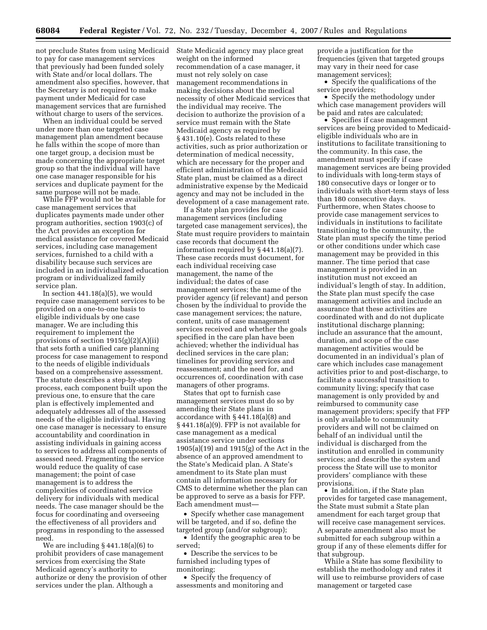not preclude States from using Medicaid to pay for case management services that previously had been funded solely with State and/or local dollars. The amendment also specifies, however, that the Secretary is not required to make payment under Medicaid for case management services that are furnished without charge to users of the services.

When an individual could be served under more than one targeted case management plan amendment because he falls within the scope of more than one target group, a decision must be made concerning the appropriate target group so that the individual will have one case manager responsible for his services and duplicate payment for the same purpose will not be made.

While FFP would not be available for case management services that duplicates payments made under other program authorities, section 1903(c) of the Act provides an exception for medical assistance for covered Medicaid services, including case management services, furnished to a child with a disability because such services are included in an individualized education program or individualized family service plan.

In section  $441.18(a)(5)$ , we would require case management services to be provided on a one-to-one basis to eligible individuals by one case manager. We are including this requirement to implement the provisions of section 1915(g)(2)(A)(ii) that sets forth a unified care planning process for case management to respond to the needs of eligible individuals based on a comprehensive assessment. The statute describes a step-by-step process, each component built upon the previous one, to ensure that the care plan is effectively implemented and adequately addresses all of the assessed needs of the eligible individual. Having one case manager is necessary to ensure accountability and coordination in assisting individuals in gaining access to services to address all components of assessed need. Fragmenting the service would reduce the quality of case management; the point of case management is to address the complexities of coordinated service delivery for individuals with medical needs. The case manager should be the focus for coordinating and overseeing the effectiveness of all providers and programs in responding to the assessed need.

We are including § 441.18(a)(6) to prohibit providers of case management services from exercising the State Medicaid agency's authority to authorize or deny the provision of other services under the plan. Although a

State Medicaid agency may place great weight on the informed recommendation of a case manager, it must not rely solely on case management recommendations in making decisions about the medical necessity of other Medicaid services that the individual may receive. The decision to authorize the provision of a service must remain with the State Medicaid agency as required by § 431.10(e). Costs related to these activities, such as prior authorization or determination of medical necessity, which are necessary for the proper and efficient administration of the Medicaid State plan, must be claimed as a direct administrative expense by the Medicaid agency and may not be included in the development of a case management rate.

If a State plan provides for case management services (including targeted case management services), the State must require providers to maintain case records that document the information required by § 441.18(a)(7). These case records must document, for each individual receiving case management, the name of the individual; the dates of case management services; the name of the provider agency (if relevant) and person chosen by the individual to provide the case management services; the nature, content, units of case management services received and whether the goals specified in the care plan have been achieved; whether the individual has declined services in the care plan; timelines for providing services and reassessment; and the need for, and occurrences of, coordination with case managers of other programs.

States that opt to furnish case management services must do so by amending their State plans in accordance with § 441.18(a)(8) and § 441.18(a)(9). FFP is not available for case management as a medical assistance service under sections 1905(a)(19) and 1915(g) of the Act in the absence of an approved amendment to the State's Medicaid plan. A State's amendment to its State plan must contain all information necessary for CMS to determine whether the plan can be approved to serve as a basis for FFP. Each amendment must—

• Specify whether case management will be targeted, and if so, define the targeted group (and/or subgroup);

• Identify the geographic area to be served;

• Describe the services to be furnished including types of monitoring;

• Specify the frequency of assessments and monitoring and

provide a justification for the frequencies (given that targeted groups may vary in their need for case management services);

• Specify the qualifications of the service providers;

• Specify the methodology under which case management providers will be paid and rates are calculated;

• Specifies if case management services are being provided to Medicaideligible individuals who are in institutions to facilitate transitioning to the community. In this case, the amendment must specify if case management services are being provided to individuals with long-term stays of 180 consecutive days or longer or to individuals with short-term stays of less than 180 consecutive days. Furthermore, when States choose to provide case management services to individuals in institutions to facilitate transitioning to the community, the State plan must specify the time period or other conditions under which case management may be provided in this manner. The time period that case management is provided in an institution must not exceed an individual's length of stay. In addition, the State plan must specify the case management activities and include an assurance that these activities are coordinated with and do not duplicate institutional discharge planning; include an assurance that the amount, duration, and scope of the case management activities would be documented in an individual's plan of care which includes case management activities prior to and post-discharge, to facilitate a successful transition to community living; specify that case management is only provided by and reimbursed to community case management providers; specify that FFP is only available to community providers and will not be claimed on behalf of an individual until the individual is discharged from the institution and enrolled in community services; and describe the system and process the State will use to monitor providers' compliance with these provisions.

• In addition, if the State plan provides for targeted case management, the State must submit a State plan amendment for each target group that will receive case management services. A separate amendment also must be submitted for each subgroup within a group if any of these elements differ for that subgroup.

While a State has some flexibility to establish the methodology and rates it will use to reimburse providers of case management or targeted case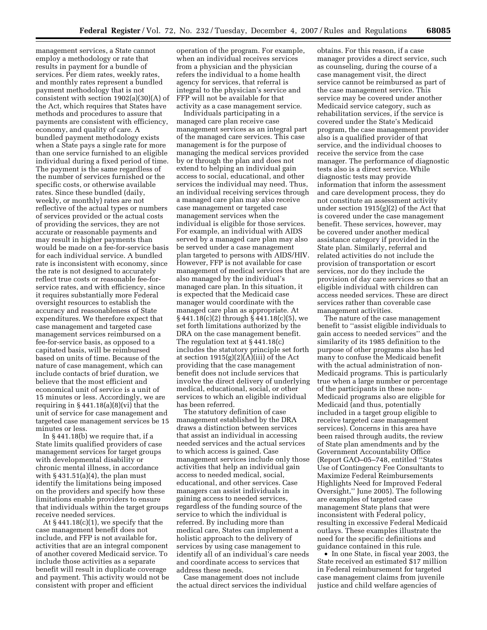management services, a State cannot employ a methodology or rate that results in payment for a bundle of services. Per diem rates, weekly rates, and monthly rates represent a bundled payment methodology that is not consistent with section 1902(a)(30)(A) of the Act, which requires that States have methods and procedures to assure that payments are consistent with efficiency, economy, and quality of care. A bundled payment methodology exists when a State pays a single rate for more than one service furnished to an eligible individual during a fixed period of time. The payment is the same regardless of the number of services furnished or the specific costs, or otherwise available rates. Since these bundled (daily, weekly, or monthly) rates are not reflective of the actual types or numbers of services provided or the actual costs of providing the services, they are not accurate or reasonable payments and may result in higher payments than would be made on a fee-for-service basis for each individual service. A bundled rate is inconsistent with economy, since the rate is not designed to accurately reflect true costs or reasonable fee-forservice rates, and with efficiency, since it requires substantially more Federal oversight resources to establish the accuracy and reasonableness of State expenditures. We therefore expect that case management and targeted case management services reimbursed on a fee-for-service basis, as opposed to a capitated basis, will be reimbursed based on units of time. Because of the nature of case management, which can include contacts of brief duration, we believe that the most efficient and economical unit of service is a unit of 15 minutes or less. Accordingly, we are requiring in  $§$  441.18(a)(8)(vi) that the unit of service for case management and targeted case management services be 15 minutes or less.

In § 441.18(b) we require that, if a State limits qualified providers of case management services for target groups with developmental disability or chronic mental illness, in accordance with  $§$  431.51(a)(4), the plan must identify the limitations being imposed on the providers and specify how these limitations enable providers to ensure that individuals within the target groups receive needed services.

At  $\S 441.18(c)(1)$ , we specify that the case management benefit does not include, and FFP is not available for, activities that are an integral component of another covered Medicaid service. To include those activities as a separate benefit will result in duplicate coverage and payment. This activity would not be consistent with proper and efficient

operation of the program. For example, when an individual receives services from a physician and the physician refers the individual to a home health agency for services, that referral is integral to the physician's service and FFP will not be available for that activity as a case management service.

Individuals participating in a managed care plan receive case management services as an integral part of the managed care services. This case management is for the purpose of managing the medical services provided by or through the plan and does not extend to helping an individual gain access to social, educational, and other services the individual may need. Thus, an individual receiving services through a managed care plan may also receive case management or targeted case management services when the individual is eligible for those services. For example, an individual with AIDS served by a managed care plan may also be served under a case management plan targeted to persons with AIDS/HIV. However, FFP is not available for case management of medical services that are also managed by the individual's managed care plan. In this situation, it is expected that the Medicaid case manager would coordinate with the managed care plan as appropriate. At § 441.18(c)(2) through § 441.18(c)(5), we set forth limitations authorized by the DRA on the case management benefit. The regulation text at § 441.18(c) includes the statutory principle set forth at section 1915(g)(2)(A)(iii) of the Act providing that the case management benefit does not include services that involve the direct delivery of underlying medical, educational, social, or other services to which an eligible individual has been referred.

The statutory definition of case management established by the DRA draws a distinction between services that assist an individual in accessing needed services and the actual services to which access is gained. Case management services include only those activities that help an individual gain access to needed medical, social, educational, and other services. Case managers can assist individuals in gaining access to needed services, regardless of the funding source of the service to which the individual is referred. By including more than medical care, States can implement a holistic approach to the delivery of services by using case management to identify all of an individual's care needs and coordinate access to services that address these needs.

Case management does not include the actual direct services the individual

obtains. For this reason, if a case manager provides a direct service, such as counseling, during the course of a case management visit, the direct service cannot be reimbursed as part of the case management service. This service may be covered under another Medicaid service category, such as rehabilitation services, if the service is covered under the State's Medicaid program, the case management provider also is a qualified provider of that service, and the individual chooses to receive the service from the case manager. The performance of diagnostic tests also is a direct service. While diagnostic tests may provide information that inform the assessment and care development process, they do not constitute an assessment activity under section  $1915(g)(2)$  of the Act that is covered under the case management benefit. These services, however, may be covered under another medical assistance category if provided in the State plan. Similarly, referral and related activities do not include the provision of transportation or escort services, nor do they include the provision of day care services so that an eligible individual with children can access needed services. These are direct services rather than coverable case management activities.

The nature of the case management benefit to ''assist eligible individuals to gain access to needed services'' and the similarity of its 1985 definition to the purpose of other programs also has led many to confuse the Medicaid benefit with the actual administration of non-Medicaid programs. This is particularly true when a large number or percentage of the participants in these non-Medicaid programs also are eligible for Medicaid (and thus, potentially included in a target group eligible to receive targeted case management services). Concerns in this area have been raised through audits, the review of State plan amendments and by the Government Accountability Office (Report GAO–05–748, entitled ''States Use of Contingency Fee Consultants to Maximize Federal Reimbursements Highlights Need for Improved Federal Oversight,'' June 2005). The following are examples of targeted case management State plans that were inconsistent with Federal policy, resulting in excessive Federal Medicaid outlays. These examples illustrate the need for the specific definitions and guidance contained in this rule.

• In one State, in fiscal year 2003, the State received an estimated \$17 million in Federal reimbursement for targeted case management claims from juvenile justice and child welfare agencies of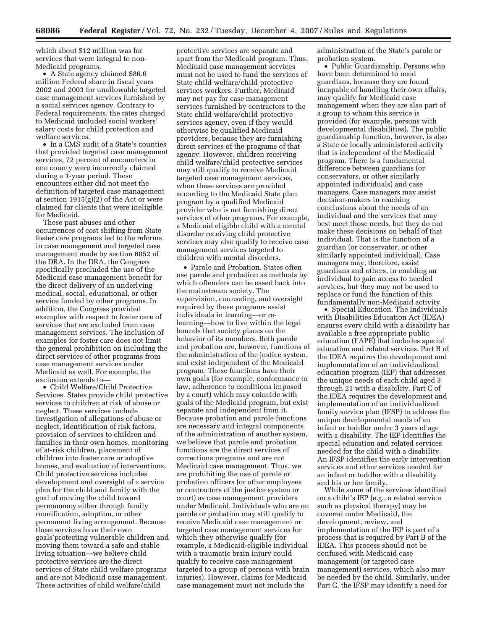which about \$12 million was for services that were integral to non-Medicaid programs.

• A State agency claimed \$86.6 million Federal share in fiscal years 2002 and 2003 for unallowable targeted case management services furnished by a social services agency. Contrary to Federal requirements, the rates charged to Medicaid included social workers' salary costs for child protection and welfare services.

• In a CMS audit of a State's counties that provided targeted case management services, 72 percent of encounters in one county were incorrectly claimed during a 1-year period. These encounters either did not meet the definition of targeted case management at section 1915(g)(2) of the Act or were claimed for clients that were ineligible for Medicaid.

These past abuses and other occurrences of cost shifting from State foster care programs led to the reforms in case management and targeted case management made by section 6052 of the DRA. In the DRA, the Congress specifically precluded the use of the Medicaid case management benefit for the direct delivery of an underlying medical, social, educational, or other service funded by other programs. In addition, the Congress provided examples with respect to foster care of services that are excluded from case management services. The inclusion of examples for foster care does not limit the general prohibition on including the direct services of other programs from case management services under Medicaid as well. For example, the exclusion extends to—

• Child Welfare/Child Protective Services. States provide child protective services to children at risk of abuse or neglect. These services include investigation of allegations of abuse or neglect, identification of risk factors, provision of services to children and families in their own homes, monitoring of at-risk children, placement of children into foster care or adoptive homes, and evaluation of interventions. Child protective services includes development and oversight of a service plan for the child and family with the goal of moving the child toward permanency either through family reunification, adoption, or other permanent living arrangement. Because these services have their own goals'protecting vulnerable children and moving them toward a safe and stable living situation—we believe child protective services are the direct services of State child welfare programs and are not Medicaid case management. These activities of child welfare/child

protective services are separate and apart from the Medicaid program. Thus, Medicaid case management services must not be used to fund the services of State child welfare/child protective services workers. Further, Medicaid may not pay for case management services furnished by contractors to the State child welfare/child protective services agency, even if they would otherwise be qualified Medicaid providers, because they are furnishing direct services of the programs of that agency. However, children receiving child welfare/child protective services may still qualify to receive Medicaid targeted case management services, when these services are provided according to the Medicaid State plan program by a qualified Medicaid provider who is not furnishing direct services of other programs. For example, a Medicaid eligible child with a mental disorder receiving child protective services may also qualify to receive case management services targeted to children with mental disorders.

• Parole and Probation. States often use parole and probation as methods by which offenders can be eased back into the mainstream society. The supervision, counseling, and oversight required by these programs assist individuals in learning—or relearning—how to live within the legal bounds that society places on the behavior of its members. Both parole and probation are, however, functions of the administration of the justice system, and exist independent of the Medicaid program. These functions have their own goals (for example, conformance to law, adherence to conditions imposed by a court) which may coincide with goals of the Medicaid program, but exist separate and independent from it. Because probation and parole functions are necessary and integral components of the administration of another system, we believe that parole and probation functions are the direct services of corrections programs and are not Medicaid case management. Thus, we are prohibiting the use of parole or probation officers (or other employees or contractors of the justice system or court) as case management providers under Medicaid. Individuals who are on parole or probation may still qualify to receive Medicaid case management or targeted case management services for which they otherwise qualify (for example, a Medicaid-eligible individual with a traumatic brain injury could qualify to receive case management targeted to a group of persons with brain injuries). However, claims for Medicaid case management must not include the

administration of the State's parole or probation system.

• Public Guardianship. Persons who have been determined to need guardians, because they are found incapable of handling their own affairs, may qualify for Medicaid case management when they are also part of a group to whom this service is provided (for example, persons with developmental disabilities). The public guardianship function, however, is also a State or locally administered activity that is independent of the Medicaid program. There is a fundamental difference between guardians (or conservators, or other similarly appointed individuals) and case managers. Case managers may assist decision-makers in reaching conclusions about the needs of an individual and the services that may best meet those needs, but they do not make these decisions on behalf of that individual. That is the function of a guardian (or conservator, or other similarly appointed individual). Case managers may, therefore, assist guardians and others, in enabling an individual to gain access to needed services, but they may not be used to replace or fund the function of this fundamentally non-Medicaid activity.

• Special Education. The Individuals with Disabilities Education Act (IDEA) ensures every child with a disability has available a free appropriate public education (FAPE) that includes special education and related services. Part B of the IDEA requires the development and implementation of an individualized education program (IEP) that addresses the unique needs of each child aged 3 through 21 with a disability. Part C of the IDEA requires the development and implementation of an individualized family service plan (IFSP) to address the unique developmental needs of an infant or toddler under 3 years of age with a disability. The IEP identifies the special education and related services needed for the child with a disability. An IFSP identifies the early intervention services and other services needed for an infant or toddler with a disability and his or her family.

While some of the services identified on a child's IEP (e.g., a related service such as physical therapy) may be covered under Medicaid, the development, review, and implementation of the IEP is part of a process that is required by Part B of the IDEA. This process should not be confused with Medicaid case management (or targeted case management) services, which also may be needed by the child. Similarly, under Part C, the IFSP may identify a need for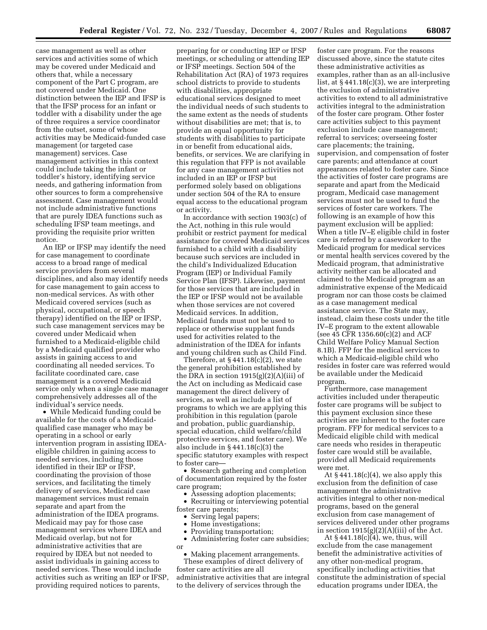case management as well as other services and activities some of which may be covered under Medicaid and others that, while a necessary component of the Part C program, are not covered under Medicaid. One distinction between the IEP and IFSP is that the IFSP process for an infant or toddler with a disability under the age of three requires a service coordinator from the outset, some of whose activities may be Medicaid-funded case management (or targeted case management) services. Case management activities in this context could include taking the infant or toddler's history, identifying service needs, and gathering information from other sources to form a comprehensive assessment. Case management would not include administrative functions that are purely IDEA functions such as scheduling IFSP team meetings, and providing the requisite prior written notice.

An IEP or IFSP may identify the need for case management to coordinate access to a broad range of medical service providers from several disciplines, and also may identify needs for case management to gain access to non-medical services. As with other Medicaid covered services (such as physical, occupational, or speech therapy) identified on the IEP or IFSP, such case management services may be covered under Medicaid when furnished to a Medicaid-eligible child by a Medicaid qualified provider who assists in gaining access to and coordinating all needed services. To facilitate coordinated care, case management is a covered Medicaid service only when a single case manager comprehensively addresses all of the individual's service needs.

• While Medicaid funding could be available for the costs of a Medicaidqualified case manager who may be operating in a school or early intervention program in assisting IDEAeligible children in gaining access to needed services, including those identified in their IEP or IFSP, coordinating the provision of those services, and facilitating the timely delivery of services, Medicaid case management services must remain separate and apart from the administration of the IDEA programs. Medicaid may pay for those case management services where IDEA and Medicaid overlap, but not for administrative activities that are required by IDEA but not needed to assist individuals in gaining access to needed services. These would include activities such as writing an IEP or IFSP, providing required notices to parents,

preparing for or conducting IEP or IFSP meetings, or scheduling or attending IEP or IFSP meetings. Section 504 of the Rehabilitation Act (RA) of 1973 requires school districts to provide to students with disabilities, appropriate educational services designed to meet the individual needs of such students to the same extent as the needs of students without disabilities are met; that is, to provide an equal opportunity for students with disabilities to participate in or benefit from educational aids, benefits, or services. We are clarifying in this regulation that FFP is not available for any case management activities not included in an IEP or IFSP but performed solely based on obligations under section 504 of the RA to ensure equal access to the educational program or activity.

In accordance with section 1903(c) of the Act, nothing in this rule would prohibit or restrict payment for medical assistance for covered Medicaid services furnished to a child with a disability because such services are included in the child's Individualized Education Program (IEP) or Individual Family Service Plan (IFSP). Likewise, payment for those services that are included in the IEP or IFSP would not be available when those services are not covered Medicaid services. In addition, Medicaid funds must not be used to replace or otherwise supplant funds used for activities related to the administration of the IDEA for infants and young children such as Child Find.

Therefore, at  $\S 441.18(c)(2)$ , we state the general prohibition established by the DRA in section  $1915(g)(2)(A)(iii)$  of the Act on including as Medicaid case management the direct delivery of services, as well as include a list of programs to which we are applying this prohibition in this regulation (parole and probation, public guardianship, special education, child welfare/child protective services, and foster care). We also include in § 441.18(c)(3) the specific statutory examples with respect to foster care—

• Research gathering and completion of documentation required by the foster care program;

• Assessing adoption placements;

• Recruiting or interviewing potential foster care parents;

- Serving legal papers;
- Home investigations;
- Providing transportation;
- Administering foster care subsidies;
- Making placement arrangements.

or

These examples of direct delivery of foster care activities are all administrative activities that are integral to the delivery of services through the

foster care program. For the reasons discussed above, since the statute cites these administrative activities as examples, rather than as an all-inclusive list, at  $§$  441.18(c)(3), we are interpreting the exclusion of administrative activities to extend to all administrative activities integral to the administration of the foster care program. Other foster care activities subject to this payment exclusion include case management; referral to services; overseeing foster care placements; the training, supervision, and compensation of foster care parents; and attendance at court appearances related to foster care. Since the activities of foster care programs are separate and apart from the Medicaid program, Medicaid case management services must not be used to fund the services of foster care workers. The following is an example of how this payment exclusion will be applied: When a title IV–E eligible child in foster care is referred by a caseworker to the Medicaid program for medical services or mental health services covered by the Medicaid program, that administrative activity neither can be allocated and claimed to the Medicaid program as an administrative expense of the Medicaid program nor can those costs be claimed as a case management medical assistance service. The State may, instead, claim these costs under the title IV–E program to the extent allowable (see 45 CFR 1356.60(c)(2) and ACF Child Welfare Policy Manual Section 8.1B). FFP for the medical services to which a Medicaid-eligible child who resides in foster care was referred would be available under the Medicaid program.

Furthermore, case management activities included under therapeutic foster care programs will be subject to this payment exclusion since these activities are inherent to the foster care program. FFP for medical services to a Medicaid eligible child with medical care needs who resides in therapeutic foster care would still be available, provided all Medicaid requirements were met.

At  $§$  441.18(c)(4), we also apply this exclusion from the definition of case management the administrative activities integral to other non-medical programs, based on the general exclusion from case management of services delivered under other programs in section  $1915(g)(2)(A)(iii)$  of the Act.

At  $§$  441.18(c) $\check{[4]}$ , we, thus, will exclude from the case management benefit the administrative activities of any other non-medical program, specifically including activities that constitute the administration of special education programs under IDEA, the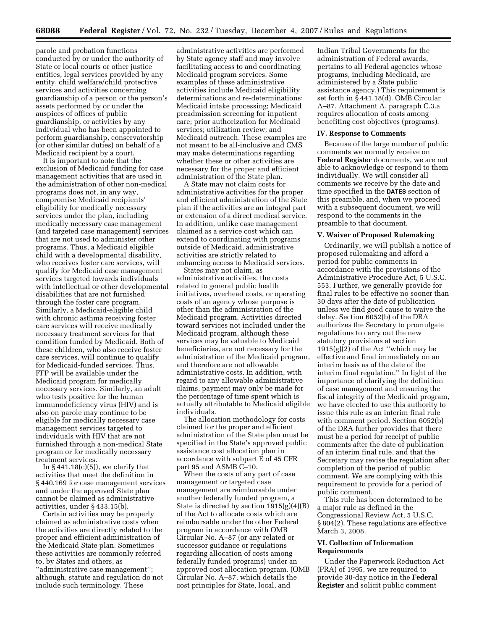parole and probation functions conducted by or under the authority of State or local courts or other justice entities, legal services provided by any entity, child welfare/child protective services and activities concerning guardianship of a person or the person's assets performed by or under the auspices of offices of public guardianship, or activities by any individual who has been appointed to perform guardianship, conservatorship (or other similar duties) on behalf of a Medicaid recipient by a court.

It is important to note that the exclusion of Medicaid funding for case management activities that are used in the administration of other non-medical programs does not, in any way, compromise Medicaid recipients' eligibility for medically necessary services under the plan, including medically necessary case management (and targeted case management) services that are not used to administer other programs. Thus, a Medicaid eligible child with a developmental disability, who receives foster care services, will qualify for Medicaid case management services targeted towards individuals with intellectual or other developmental disabilities that are not furnished through the foster care program. Similarly, a Medicaid-eligible child with chronic asthma receiving foster care services will receive medically necessary treatment services for that condition funded by Medicaid. Both of these children, who also receive foster care services, will continue to qualify for Medicaid-funded services. Thus, FFP will be available under the Medicaid program for medically necessary services. Similarly, an adult who tests positive for the human immunodeficiency virus (HIV) and is also on parole may continue to be eligible for medically necessary case management services targeted to individuals with HIV that are not furnished through a non-medical State program or for medically necessary treatment services.

In  $§$  441.18(c)(5)), we clarify that activities that meet the definition in § 440.169 for case management services and under the approved State plan cannot be claimed as administrative activities, under § 433.15(b).

Certain activities may be properly claimed as administrative costs when the activities are directly related to the proper and efficient administration of the Medicaid State plan. Sometimes these activities are commonly referred to, by States and others, as ''administrative case management''; although, statute and regulation do not include such terminology. These

administrative activities are performed by State agency staff and may involve facilitating access to and coordinating Medicaid program services. Some examples of these administrative activities include Medicaid eligibility determinations and re-determinations; Medicaid intake processing; Medicaid preadmission screening for inpatient care; prior authorization for Medicaid services; utilization review; and Medicaid outreach. These examples are not meant to be all-inclusive and CMS may make determinations regarding whether these or other activities are necessary for the proper and efficient administration of the State plan.

A State may not claim costs for administrative activities for the proper and efficient administration of the State plan if the activities are an integral part or extension of a direct medical service. In addition, unlike case management claimed as a service cost which can extend to coordinating with programs outside of Medicaid, administrative activities are strictly related to enhancing access to Medicaid services.

States may not claim, as administrative activities, the costs related to general public health initiatives, overhead costs, or operating costs of an agency whose purpose is other than the administration of the Medicaid program. Activities directed toward services not included under the Medicaid program, although these services may be valuable to Medicaid beneficiaries, are not necessary for the administration of the Medicaid program, and therefore are not allowable administrative costs. In addition, with regard to any allowable administrative claims, payment may only be made for the percentage of time spent which is actually attributable to Medicaid eligible individuals.

The allocation methodology for costs claimed for the proper and efficient administration of the State plan must be specified in the State's approved public assistance cost allocation plan in accordance with subpart E of 45 CFR part 95 and ASMB C–10.

When the costs of any part of case management or targeted case management are reimbursable under another federally funded program, a State is directed by section 1915(g)(4)(B) of the Act to allocate costs which are reimbursable under the other Federal program in accordance with OMB Circular No. A–87 (or any related or successor guidance or regulations regarding allocation of costs among federally funded programs) under an approved cost allocation program. (OMB Circular No. A–87, which details the cost principles for State, local, and

Indian Tribal Governments for the administration of Federal awards, pertains to all Federal agencies whose programs, including Medicaid, are administered by a State public assistance agency.) This requirement is set forth in § 441.18(d). OMB Circular A–87, Attachment A, paragraph C.3.a requires allocation of costs among benefiting cost objectives (programs).

#### **IV. Response to Comments**

Because of the large number of public comments we normally receive on **Federal Register** documents, we are not able to acknowledge or respond to them individually. We will consider all comments we receive by the date and time specified in the **DATES** section of this preamble, and, when we proceed with a subsequent document, we will respond to the comments in the preamble to that document.

### **V. Waiver of Proposed Rulemaking**

Ordinarily, we will publish a notice of proposed rulemaking and afford a period for public comments in accordance with the provisions of the Administrative Procedure Act, 5 U.S.C. 553. Further, we generally provide for final rules to be effective no sooner than 30 days after the date of publication unless we find good cause to waive the delay. Section 6052(b) of the DRA authorizes the Secretary to promulgate regulations to carry out the new statutory provisions at section  $1915(g)(2)$  of the Act "which may be effective and final immediately on an interim basis as of the date of the interim final regulation.'' In light of the importance of clarifying the definition of case management and ensuring the fiscal integrity of the Medicaid program, we have elected to use this authority to issue this rule as an interim final rule with comment period. Section 6052(b) of the DRA further provides that there must be a period for receipt of public comments after the date of publication of an interim final rule, and that the Secretary may revise the regulation after completion of the period of public comment. We are complying with this requirement to provide for a period of public comment.

This rule has been determined to be a major rule as defined in the Congressional Review Act, 5 U.S.C. § 804(2). These regulations are effective March 3, 2008.

# **VI. Collection of Information Requirements**

Under the Paperwork Reduction Act (PRA) of 1995, we are required to provide 30-day notice in the **Federal Register** and solicit public comment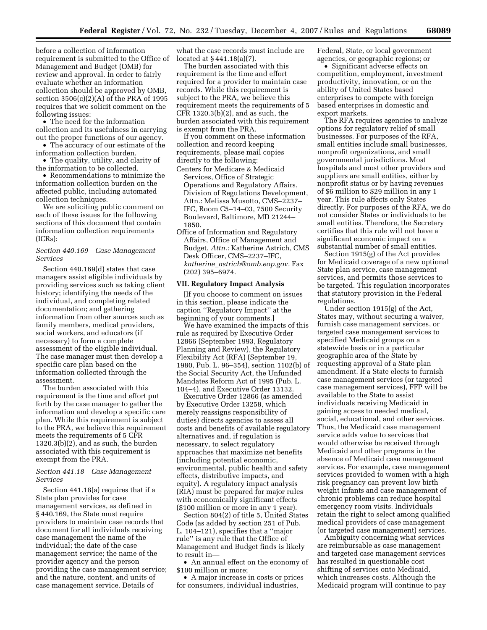before a collection of information requirement is submitted to the Office of Management and Budget (OMB) for review and approval. In order to fairly evaluate whether an information collection should be approved by OMB, section 3506(c)(2)(A) of the PRA of 1995 requires that we solicit comment on the following issues:

• The need for the information collection and its usefulness in carrying out the proper functions of our agency.

• The accuracy of our estimate of the information collection burden.

• The quality, utility, and clarity of the information to be collected.

• Recommendations to minimize the information collection burden on the affected public, including automated collection techniques.

We are soliciting public comment on each of these issues for the following sections of this document that contain information collection requirements (ICRs):

### *Section 440.169 Case Management Services*

Section 440.169(d) states that case managers assist eligible individuals by providing services such as taking client history; identifying the needs of the individual, and completing related documentation; and gathering information from other sources such as family members, medical providers, social workers, and educators (if necessary) to form a complete assessment of the eligible individual. The case manager must then develop a specific care plan based on the information collected through the assessment.

The burden associated with this requirement is the time and effort put forth by the case manager to gather the information and develop a specific care plan. While this requirement is subject to the PRA, we believe this requirement meets the requirements of 5 CFR 1320.3(b)(2), and as such, the burden associated with this requirement is exempt from the PRA.

### *Section 441.18 Case Management Services*

Section 441.18(a) requires that if a State plan provides for case management services, as defined in § 440.169, the State must require providers to maintain case records that document for all individuals receiving case management the name of the individual; the date of the case management service; the name of the provider agency and the person providing the case management service; and the nature, content, and units of case management service. Details of

what the case records must include are located at § 441.18(a)(7).

The burden associated with this requirement is the time and effort required for a provider to maintain case records. While this requirement is subject to the PRA, we believe this requirement meets the requirements of 5 CFR 1320.3(b)(2), and as such, the burden associated with this requirement is exempt from the PRA.

If you comment on these information collection and record keeping requirements, please mail copies directly to the following:

Centers for Medicare & Medicaid Services, Office of Strategic Operations and Regulatory Affairs, Division of Regulations Development, Attn.: Melissa Musotto, CMS–2237– IFC, Room C5–14–03, 7500 Security Boulevard, Baltimore, MD 21244– 1850.

Office of Information and Regulatory Affairs, Office of Management and Budget, *Attn.:* Katherine Astrich, CMS Desk Officer, CMS–2237–IFC, *katherine*\_*astrich@omb.eop.gov.* Fax (202) 395–6974.

#### **VII. Regulatory Impact Analysis**

[If you choose to comment on issues in this section, please indicate the caption ''Regulatory Impact'' at the beginning of your comments.]

We have examined the impacts of this rule as required by Executive Order 12866 (September 1993, Regulatory Planning and Review), the Regulatory Flexibility Act (RFA) (September 19, 1980, Pub. L. 96–354), section 1102(b) of the Social Security Act, the Unfunded Mandates Reform Act of 1995 (Pub. L. 104–4), and Executive Order 13132.

Executive Order 12866 (as amended by Executive Order 13258, which merely reassigns responsibility of duties) directs agencies to assess all costs and benefits of available regulatory alternatives and, if regulation is necessary, to select regulatory approaches that maximize net benefits (including potential economic, environmental, public health and safety effects, distributive impacts, and equity). A regulatory impact analysis (RIA) must be prepared for major rules with economically significant effects (\$100 million or more in any 1 year).

Section 804(2) of title 5, United States Code (as added by section 251 of Pub. L. 104–121), specifies that a ''major rule'' is any rule that the Office of Management and Budget finds is likely to result in—

• An annual effect on the economy of \$100 million or more;

• A major increase in costs or prices for consumers, individual industries,

Federal, State, or local government agencies, or geographic regions; or

• Significant adverse effects on competition, employment, investment productivity, innovation, or on the ability of United States based enterprises to compete with foreign based enterprises in domestic and export markets.

The RFA requires agencies to analyze options for regulatory relief of small businesses. For purposes of the RFA, small entities include small businesses, nonprofit organizations, and small governmental jurisdictions. Most hospitals and most other providers and suppliers are small entities, either by nonprofit status or by having revenues of \$6 million to \$29 million in any 1 year. This rule affects only States directly. For purposes of the RFA, we do not consider States or individuals to be small entities. Therefore, the Secretary certifies that this rule will not have a significant economic impact on a substantial number of small entities.

Section 1915(g) of the Act provides for Medicaid coverage of a new optional State plan service, case management services, and permits those services to be targeted. This regulation incorporates that statutory provision in the Federal regulations.

Under section 1915(g) of the Act, States may, without securing a waiver, furnish case management services, or targeted case management services to specified Medicaid groups on a statewide basis or in a particular geographic area of the State by requesting approval of a State plan amendment. If a State elects to furnish case management services (or targeted case management services), FFP will be available to the State to assist individuals receiving Medicaid in gaining access to needed medical, social, educational, and other services. Thus, the Medicaid case management service adds value to services that would otherwise be received through Medicaid and other programs in the absence of Medicaid case management services. For example, case management services provided to women with a high risk pregnancy can prevent low birth weight infants and case management of chronic problems can reduce hospital emergency room visits. Individuals retain the right to select among qualified medical providers of case management (or targeted case management) services.

Ambiguity concerning what services are reimbursable as case management and targeted case management services has resulted in questionable cost shifting of services onto Medicaid, which increases costs. Although the Medicaid program will continue to pay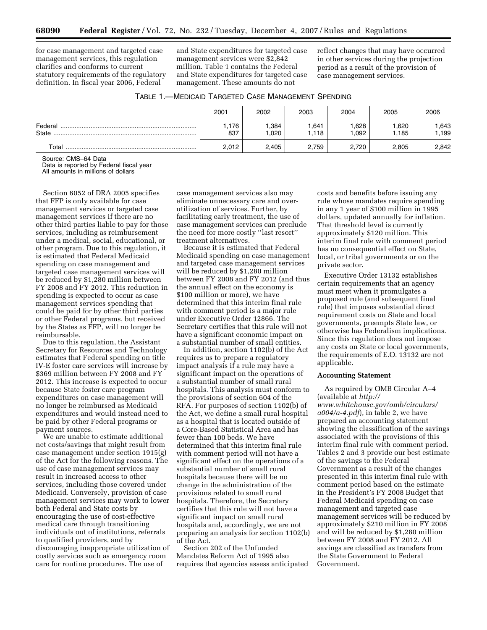for case management and targeted case management services, this regulation clarifies and conforms to current statutory requirements of the regulatory definition. In fiscal year 2006, Federal

and State expenditures for targeted case management services were \$2,842 million. Table 1 contains the Federal and State expenditures for targeted case management. These amounts do not

reflect changes that may have occurred in other services during the projection period as a result of the provision of case management services.

| TABLE 1.—MEDICAID TARGETED CASE MANAGEMENT SPENDING |
|-----------------------------------------------------|
|-----------------------------------------------------|

|                  | 2001        | 2002         | 2003         | 2004         | 2005         | 2006         |
|------------------|-------------|--------------|--------------|--------------|--------------|--------------|
| Federal<br>State | .176<br>837 | ,384<br>,020 | .641<br>.118 | .628<br>.092 | .620<br>.185 | .643<br>.199 |
| Total            | 2.012       | 2.405        | 2,759        | 2,720        | 2.805        | 2,842        |

Source: CMS–64 Data

Data is reported by Federal fiscal year

All amounts in millions of dollars

Section 6052 of DRA 2005 specifies that FFP is only available for case management services or targeted case management services if there are no other third parties liable to pay for those services, including as reimbursement under a medical, social, educational, or other program. Due to this regulation, it is estimated that Federal Medicaid spending on case management and targeted case management services will be reduced by \$1,280 million between FY 2008 and FY 2012. This reduction in spending is expected to occur as case management services spending that could be paid for by other third parties or other Federal programs, but received by the States as FFP, will no longer be reimbursable.

Due to this regulation, the Assistant Secretary for Resources and Technology estimates that Federal spending on title IV-E foster care services will increase by \$369 million between FY 2008 and FY 2012. This increase is expected to occur because State foster care program expenditures on case management will no longer be reimbursed as Medicaid expenditures and would instead need to be paid by other Federal programs or payment sources.

We are unable to estimate additional net costs/savings that might result from case management under section 1915(g) of the Act for the following reasons. The use of case management services may result in increased access to other services, including those covered under Medicaid. Conversely, provision of case management services may work to lower both Federal and State costs by encouraging the use of cost-effective medical care through transitioning individuals out of institutions, referrals to qualified providers, and by discouraging inappropriate utilization of costly services such as emergency room care for routine procedures. The use of

case management services also may eliminate unnecessary care and overutilization of services. Further, by facilitating early treatment, the use of case management services can preclude the need for more costly ''last resort'' treatment alternatives.

Because it is estimated that Federal Medicaid spending on case management and targeted case management services will be reduced by \$1,280 million between FY 2008 and FY 2012 (and thus the annual effect on the economy is \$100 million or more), we have determined that this interim final rule with comment period is a major rule under Executive Order 12866. The Secretary certifies that this rule will not have a significant economic impact on a substantial number of small entities.

In addition, section 1102(b) of the Act requires us to prepare a regulatory impact analysis if a rule may have a significant impact on the operations of a substantial number of small rural hospitals. This analysis must conform to the provisions of section 604 of the RFA. For purposes of section 1102(b) of the Act, we define a small rural hospital as a hospital that is located outside of a Core-Based Statistical Area and has fewer than 100 beds. We have determined that this interim final rule with comment period will not have a significant effect on the operations of a substantial number of small rural hospitals because there will be no change in the administration of the provisions related to small rural hospitals. Therefore, the Secretary certifies that this rule will not have a significant impact on small rural hospitals and, accordingly, we are not preparing an analysis for section 1102(b) of the Act.

Section 202 of the Unfunded Mandates Reform Act of 1995 also requires that agencies assess anticipated costs and benefits before issuing any rule whose mandates require spending in any 1 year of \$100 million in 1995 dollars, updated annually for inflation. That threshold level is currently approximately \$120 million. This interim final rule with comment period has no consequential effect on State, local, or tribal governments or on the private sector.

Executive Order 13132 establishes certain requirements that an agency must meet when it promulgates a proposed rule (and subsequent final rule) that imposes substantial direct requirement costs on State and local governments, preempts State law, or otherwise has Federalism implications. Since this regulation does not impose any costs on State or local governments, the requirements of E.O. 13132 are not applicable.

# **Accounting Statement**

As required by OMB Circular A–4 (available at *http:// www.whitehouse.gov/omb/circulars/ a004/a-4.pdf*), in table 2, we have prepared an accounting statement showing the classification of the savings associated with the provisions of this interim final rule with comment period. Tables 2 and 3 provide our best estimate of the savings to the Federal Government as a result of the changes presented in this interim final rule with comment period based on the estimate in the President's FY 2008 Budget that Federal Medicaid spending on case management and targeted case management services will be reduced by approximately \$210 million in FY 2008 and will be reduced by \$1,280 million between FY 2008 and FY 2012. All savings are classified as transfers from the State Government to Federal Government.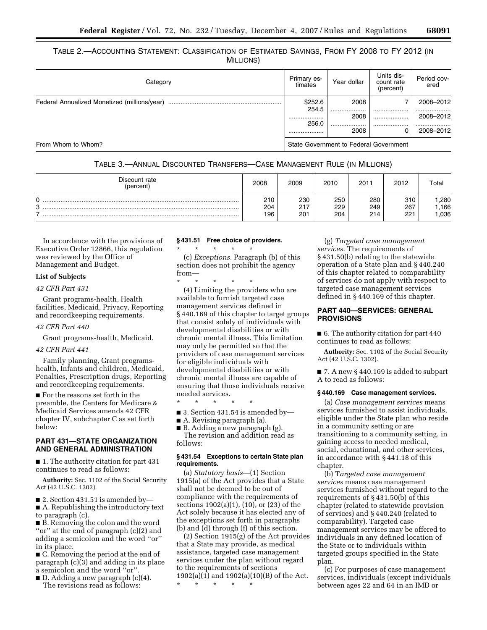TABLE 2.—ACCOUNTING STATEMENT: CLASSIFICATION OF ESTIMATED SAVINGS, FROM FY 2008 TO FY 2012 (IN MILLIONS)

| Category                                     | Primary es-<br>timates | Year dollar                            | Units dis-<br>count rate<br>(percent) | Period cov-<br>ered |  |
|----------------------------------------------|------------------------|----------------------------------------|---------------------------------------|---------------------|--|
| Federal Annualized Monetized (millions/year) | \$252.6<br>254.5       | 2008<br>                               | .                                     | 2008-2012<br>.      |  |
|                                              | 256.0                  | 2008<br>                               | <br>                                  | 2008-2012<br>       |  |
|                                              |                        | 2008                                   | 0                                     | 2008-2012           |  |
| From Whom to Whom?                           |                        | State Government to Federal Government |                                       |                     |  |

|  | TABLE 3.—ANNUAL DISCOUNTED TRANSFERS—CASE MANAGEMENT RULE (IN MILLIONS) |  |
|--|-------------------------------------------------------------------------|--|
|--|-------------------------------------------------------------------------|--|

| Discount rate<br>(percent) | 2008              | 2009              | 2010              | 2011              | 2012              | Total                |
|----------------------------|-------------------|-------------------|-------------------|-------------------|-------------------|----------------------|
| U<br>o                     | 210<br>204<br>196 | 230<br>217<br>201 | 250<br>229<br>204 | 280<br>249<br>214 | 310<br>267<br>221 | ,280<br>.166<br>,036 |

In accordance with the provisions of Executive Order 12866, this regulation was reviewed by the Office of Management and Budget.

### **List of Subjects**

### *42 CFR Part 431*

Grant programs-health, Health facilities, Medicaid, Privacy, Reporting and recordkeeping requirements.

#### *42 CFR Part 440*

Grant programs-health, Medicaid.

#### *42 CFR Part 441*

Family planning, Grant programshealth, Infants and children, Medicaid, Penalties, Prescription drugs, Reporting and recordkeeping requirements.

■ For the reasons set forth in the preamble, the Centers for Medicare & Medicaid Services amends 42 CFR chapter IV, subchapter C as set forth below:

# **PART 431—STATE ORGANIZATION AND GENERAL ADMINISTRATION**

■ 1. The authority citation for part 431 continues to read as follows:

**Authority:** Sec. 1102 of the Social Security Act (42 U.S.C. 1302).

■ 2. Section 431.51 is amended by—

■ A. Republishing the introductory text to paragraph (c).

■ B. Removing the colon and the word ''or'' at the end of paragraph (c)(2) and adding a semicolon and the word ''or'' in its place.

■ C. Removing the period at the end of paragraph (c)(3) and adding in its place a semicolon and the word ''or''.

■ D. Adding a new paragraph (c)(4). The revisions read as follows:

# **§ 431.51 Free choice of providers.**

\* \* \* \* \* (c) *Exceptions.* Paragraph (b) of this section does not prohibit the agency from—

\* \* \* \* \*

(4) Limiting the providers who are available to furnish targeted case management services defined in § 440.169 of this chapter to target groups that consist solely of individuals with developmental disabilities or with chronic mental illness. This limitation may only be permitted so that the providers of case management services for eligible individuals with developmental disabilities or with chronic mental illness are capable of ensuring that those individuals receive needed services.

\* \* \* \* \*

 $\blacksquare$  3. Section 431.54 is amended by-

■ A. Revising paragraph (a). ■ B. Adding a new paragraph (g).

The revision and addition read as follows:

## **§ 431.54 Exceptions to certain State plan requirements.**

(a) *Statutory basis*—(1) Section 1915(a) of the Act provides that a State shall not be deemed to be out of compliance with the requirements of sections 1902(a)(1), (10), or (23) of the Act solely because it has elected any of the exceptions set forth in paragraphs (b) and (d) through (f) of this section.

(2) Section 1915(g) of the Act provides that a State may provide, as medical assistance, targeted case management services under the plan without regard to the requirements of sections 1902(a)(1) and 1902(a)(10)(B) of the Act.

\* \* \* \* \*

(g) *Targeted case management services.* The requirements of § 431.50(b) relating to the statewide operation of a State plan and § 440.240 of this chapter related to comparability of services do not apply with respect to targeted case management services defined in § 440.169 of this chapter.

# **PART 440—SERVICES: GENERAL PROVISIONS**

■ 6. The authority citation for part 440 continues to read as follows:

**Authority:** Sec. 1102 of the Social Security Act (42 U.S.C. 1302).

■ 7. A new § 440.169 is added to subpart A to read as follows:

### **§ 440.169 Case management services.**

(a) *Case management services* means services furnished to assist individuals, eligible under the State plan who reside in a community setting or are transitioning to a community setting, in gaining access to needed medical, social, educational, and other services, in accordance with § 441.18 of this chapter.

(b) T*argeted case management services* means case management services furnished without regard to the requirements of § 431.50(b) of this chapter (related to statewide provision of services) and § 440.240 (related to comparability). Targeted case management services may be offered to individuals in any defined location of the State or to individuals within targeted groups specified in the State plan.

(c) For purposes of case management services, individuals (except individuals between ages 22 and 64 in an IMD or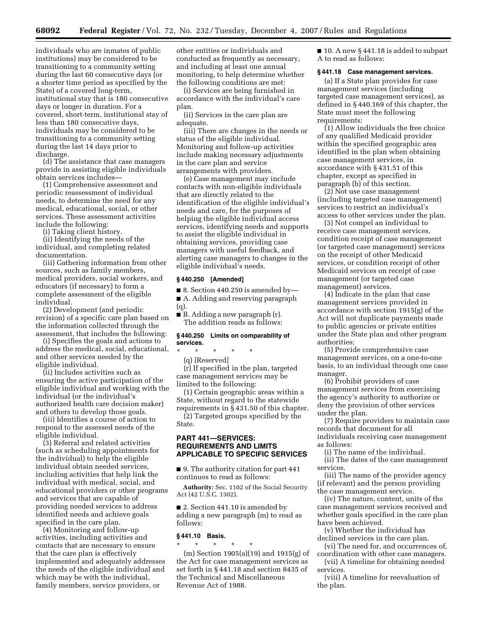individuals who are inmates of public institutions) may be considered to be transitioning to a community setting during the last 60 consecutive days (or a shorter time period as specified by the State) of a covered long-term, institutional stay that is 180 consecutive days or longer in duration. For a covered, short-term, institutional stay of less than 180 consecutive days, individuals may be considered to be transitioning to a community setting during the last 14 days prior to discharge.

(d) The assistance that case managers provide in assisting eligible individuals obtain services includes—

(1) Comprehensive assessment and periodic reassessment of individual needs, to determine the need for any medical, educational, social, or other services. These assessment activities include the following:

(i) Taking client history.

(ii) Identifying the needs of the individual, and completing related documentation.

(iii) Gathering information from other sources, such as family members, medical providers, social workers, and educators (if necessary) to form a complete assessment of the eligible individual.

(2) Development (and periodic revision) of a specific care plan based on the information collected through the assessment, that includes the following:

(i) Specifies the goals and actions to address the medical, social, educational, and other services needed by the eligible individual.

(ii) Includes activities such as ensuring the active participation of the eligible individual and working with the individual (or the individual's authorized health care decision maker) and others to develop those goals.

(iii) Identifies a course of action to respond to the assessed needs of the eligible individual.

(3) Referral and related activities (such as scheduling appointments for the individual) to help the eligible individual obtain needed services, including activities that help link the individual with medical, social, and educational providers or other programs and services that are capable of providing needed services to address identified needs and achieve goals specified in the care plan.

(4) Monitoring and follow-up activities, including activities and contacts that are necessary to ensure that the care plan is effectively implemented and adequately addresses the needs of the eligible individual and which may be with the individual, family members, service providers, or

other entities or individuals and conducted as frequently as necessary, and including at least one annual monitoring, to help determine whether the following conditions are met:

(i) Services are being furnished in accordance with the individual's care plan.

(ii) Services in the care plan are adequate.

(iii) There are changes in the needs or status of the eligible individual. Monitoring and follow-up activities include making necessary adjustments in the care plan and service arrangements with providers.

(e) Case management may include contacts with non-eligible individuals that are directly related to the identification of the eligible individual's needs and care, for the purposes of helping the eligible individual access services, identifying needs and supports to assist the eligible individual in obtaining services, providing case managers with useful feedback, and alerting case managers to changes in the eligible individual's needs.

### **§ 440.250 [Amended]**

 $\blacksquare$  8. Section 440.250 is amended by— ■ A. Adding and reserving paragraph

(q). ■ B. Adding a new paragraph (r). The addition reads as follows:

### **§ 440.250 Limits on comparability of services.**

\* \* \* \* \*

(q) [Reserved]

(r) If specified in the plan, targeted case management services may be limited to the following:

(1) Certain geographic areas within a State, without regard to the statewide requirements in § 431.50 of this chapter.

(2) Targeted groups specified by the State.

# **PART 441—SERVICES: REQUIREMENTS AND LIMITS APPLICABLE TO SPECIFIC SERVICES**

■ 9. The authority citation for part 441 continues to read as follows:

**Authority:** Sec. 1102 of the Social Security Act (42 U.S.C. 1302).

■ 2. Section 441.10 is amended by adding a new paragraph (m) to read as follows:

#### **§ 441.10 Basis.**

\* \* \* \* \* (m) Section 1905(a)(19) and 1915(g) of the Act for case management services as set forth in § 441.18 and section 8435 of the Technical and Miscellaneous Revenue Act of 1988.

■ 10. A new § 441.18 is added to subpart A to read as follows:

#### **§ 441.18 Case management services.**

(a) If a State plan provides for case management services (including targeted case management services), as defined in § 440.169 of this chapter, the State must meet the following requirements:

(1) Allow individuals the free choice of any qualified Medicaid provider within the specified geographic area identified in the plan when obtaining case management services, in accordance with § 431.51 of this chapter, except as specified in paragraph (b) of this section.

(2) Not use case management (including targeted case management) services to restrict an individual's access to other services under the plan.

(3) Not compel an individual to receive case management services, condition receipt of case management (or targeted case management) services on the receipt of other Medicaid services, or condition receipt of other Medicaid services on receipt of case management (or targeted case management) services.

(4) Indicate in the plan that case management services provided in accordance with section 1915(g) of the Act will not duplicate payments made to public agencies or private entities under the State plan and other program authorities;

(5) Provide comprehensive case management services, on a one-to-one basis, to an individual through one case manager.

(6) Prohibit providers of case management services from exercising the agency's authority to authorize or deny the provision of other services under the plan.

(7) Require providers to maintain case records that document for all individuals receiving case management as follows:

(i) The name of the individual. (ii) The dates of the case management services.

(iii) The name of the provider agency (if relevant) and the person providing the case management service.

(iv) The nature, content, units of the case management services received and whether goals specified in the care plan have been achieved.

(v) Whether the individual has declined services in the care plan.

(vi) The need for, and occurrences of, coordination with other case managers.

(vii) A timeline for obtaining needed services.

(viii) A timeline for reevaluation of the plan.